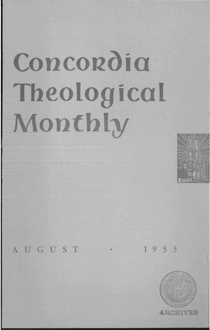# **Concordia Tbeological Monthly**



AUGUST • 1953

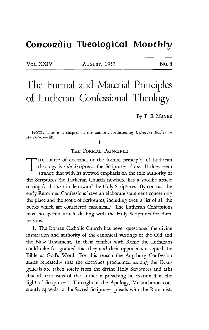### Concordia Theological Monthly

VOL. XXIV AUGUST, 1953 No. 8

## The Formal and Material Principles of Lutheran Confessional Theology

By F. E. MAYER

NOTE: This is a chapter in the author's forthcoming *Religious Bodies in*   $American. - ED.$ 

I

THE FORMAL PRINCIPLE

THE source of doctrine, or the formal principle, of Lutheran theology is *sola Scriptura,* the Scriptures alone. It does seem strange that with its avowed emphasis on the sole authority of the Scriptures the Lutheran Church nowhere has a specific article setting forth its attitude toward the Holy Scriptures. By contrast the early Reformed Confessions have an elaborate statement concerning the place and the scope of Scriptures, including even a list of all the books which are considered canonical.<sup>1</sup> The Lutheran Confessions have no specific article dealing with the Holy Scriptures for three reasons.

1. The Roman Catholic Church has never questioned the divine inspiration and authority of the canonical writings of the Old and the New Testament. In their conflict with Rome the Lutherans could take for granted that they and their opponents accepted the Bible as God's Word. For this reason the Augsburg Confession states repeatedly that the doctrines proclaimed among the Evangelicals are taken solely from the divine Holy Scriptures and asks that all criticisms of the Lutheran preaching be examined in the light of Scriptures.<sup>2</sup> Throughout the Apology, Melanchthon constantly appeals to the Sacred Scriptures, pleads with the Romanists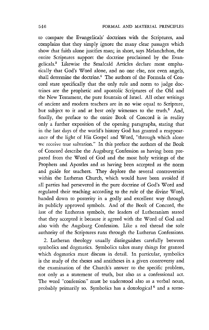to compare the Evangelicals' doctrines with the Scriptures, and complains that they simply ignore the many clear passages which show that faith alone justifies man; in short, says Melanchthon, the entire Scriptures support the doctrine proclaimed by the Evangelicals.3 Likewise the Smalcald Articles declare most emphatically that God's Word alone, and no one else, not even angels, shall determine the doctrine.<sup>4</sup> The authors of the Formula of Concord state specifically that the only rule and norm to judge doctrines are the prophetic and apostolic Scriptures of the Old and the New Testament, the pure fountain of Israel. All other writings of ancient and modern teachers are in no wise equal to Scripture, but subject to it and at best only witnesses to the truth.<sup>5</sup> And, finally, the preface to the entire Book of Concord is in reality only a further exposition of the opening paragraphs, stating that in the last days of the world's history God has granted a reappearance of the light of His Gospel and Word, "through which alone we receive true salvation." In this preface the authors of the Book of Concord describe the Augsburg Confession as having been prepared from the Word of God and the most holy writings of the Prophets and Apostles and as having been accepted as the norm and guide for teachers. They deplore the several controversies within the Lutheran Church, which would have been avoided if all parties had persevered in the pure doctrine of God's Word and regulated their teaching according to the rule of the divine Word, handed down to posterity in a godly and excellent way through its publicly approved symbols. And of the Book of Concord, the last of the Lutheran symbols, the leaders of Lutheranism stated that they accepted it because it agreed with the Word of God and also with the Augsburg Confession. Like a red thread the sole authority of the Scriptures runs through the Lutheran Confessions.

2. Lutheran theology usually distinguishes carefully between symbolics and dogmatics. Symbolics takes many things for granted which dogmatics must discuss in detail. In particular, symbolics is the study of the theses and antitheses in a given controversy and the examination of the Church's answer to the specific problem, not only as a statement of truth, but also as a confessional act. The word "confession" must be understood also as a verbal noun, probably primarily so. Symbolics has a doxological 6 and a some-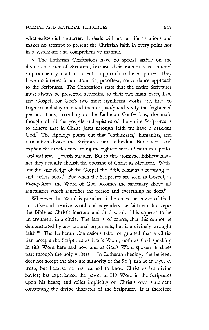what existential character. It deals with actual life situations and makes no attempt to present the Christian faith in every point nor in a systematic and comprehensive manner.

3. The Lutheran Confessions have no special article on the divine character of Scripture, because their interest was centered so prominently in a Christocentric approach to the Scriptures. They have no interest in an atomistic, prooftext, concordance approach to the Scriptures. The Confessions state that the entire Scriptures must always be presented according to their two main parts, Law and Gospel, for God's two most significant works are, first, to frighten and slay man and then to justify and vivify the frightened person. Thus, according to the Lutheran Confessions, the main thought of all the gospels and epistles of the entire Scriptures is to believe that in Christ Jesus through faith we have a gracious God.7 The Apology points out that "enthusiasts," humanists, and rationalists dissect the Scriptures into individual Bible texts and explain the articles concerning the righteousness of faith in a philosophical and a Jewish manner. But in this atomistic, Biblicist manner they actually abolish the doctrine of Christ as Mediator. Without the knowledge of the Gospel the Bible remains a meaningless and useless book.<sup>8</sup> But when the Scriptures are seen as Gospel, as *Evangelium*, the Word of God becomes the sanctuary above all sanctuaries which sanctifies the person and everything he does.<sup>9</sup>

Wherever this Word is preached, it becomes the power of God, an active and creative Word, and engenders the faith which accepts the Bible as Christ's inerrant and final word. This appears to be an argument in a circle. The fact is, of course, that this cannot be demonstrated by any rational arguments, but is a divinely wrought faith.10 The Lutheran Confessions take for granted that a Christian accepts the Scriptures as God's Word, both as God speaking in this Word here and now and as God's Word spoken in times past through the holy writers.<sup>11</sup> In Lutheran theology the believer does not accept the absolute authority of the Scripture as an *a priori*  truth, but because he has learned to know Christ as his divine Savior; has experienced the power of His Word in the Scriptures upon his heart; and relies implicitly on Christ's own statement concerning the divine character of the Scriptures. It is therefore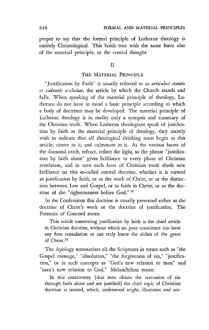proper to say that the formal principle of Lutheran theology is entirely Christological. This holds true with the same force also of the material principle, or the central thought.

#### II

#### THE MATERIAL PRINCIPLE

"Justification by Faith" is usually referred to as *articulus stantis et cadentis ecclesiae,* the article by which the Church stands and falls. When speaking of the material principle of theology, Lutherans do not have in mind a basic principle according to which a body of doctrines may be developed. The material principle of Lutheran theology is in reality only a synopsis and summary of the Christian truth. When Lutheran theologians speak of justification by faith as the material principle of theology, they merely wish to indicate that all theological thinking must begin at this article, center in it, and culminate in it. As the various facets of the diamond catch, refract, reflect the light, so the phrase "justification by faith alone" gives brilliance to every phase of Christian revelation, and in turn each facet of Christian truth sheds new brilliance on this so-called central doctrine, whether it is viewed as justification by faith, or as the work of Christ, or as the distinction between Law and Gospel, or as faith in Christ, or as the doctrine of the "righteousness before God." 12

In the Confessions this doctrine is usually presented either as the doctrine of Christ's work or the doctrine of justification. The Formula of Concord states:

This article concerning justification by faith is the chief article in Christian doctrine, without which no poor conscience can have any firm consolation or can truly know the riches of the grace of Christ.<sup>13</sup>

The Apology summarizes all the Scriptures in terms such as "the Gospel message," "absolution," "the forgiveness of sin," "justification," or in such concepts as "God's new relation to man" and "man's new relation to God." Melanchthon states:

In this controversy [that men obtain the remission of sin through faith alone and are justified) the chief topic of Christian doctrine is treated, which, understood aright, illumines and am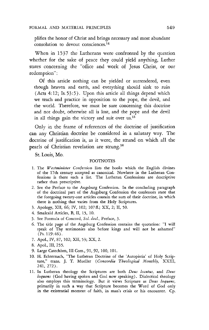plifies the honor of Christ and brings necessary and most abundant consolation to devout consciences.14

When in 1537 the Lutherans were confronted by the question whether for the sake of peace they could yield anything, Luther states concerning the "office and work of Jesus Christ, or our redemption":

Of this article nothing can be yielded or surrendered, even though heaven and earth, and everything should sink to ruin (Acts 4:12; Is.53:5). Upon this article all things depend which we teach and practice in opposition to the pope, the devil, and the world. Therefore, we must be sure concerning this doctrine and not doubt, otherwise all is lost, and the pope and the devil in all things gain the victory and suit over us.<sup>15</sup>

Only in the frame of references of the doctrine of justification can any Christian doctrine be considered in a salutary way. The doctrine of justification is, as it were, the strand on which all the pearls of Christian revelation are strung.<sup>16</sup>

St. Louis, Mo.

#### FOOTNOTES

- 1. The *Westminister Confession* lists the books which the English divines of the 17th cenrory accepted as canonical. Nowhere in the Lutheran Confessions is there such a list. The Lutheran Confessions are descriptive rather than prescriptive.
- 2. See the Preface to the Augsburg Confession. In the concluding paragraph of the doctrinal part of the Augsburg Confession the confessors state that the foregoing twenty-one articles contain the sum of their doctrine, in which there is nothing that varies from the Holy Scriptures.
- 3. Apology, XII, 66; IV, 102; 107 fl.; XX, 2; II, 50.
- 4. Smalcald Articles, B, II, 15, 10.
- 5. See Formula of Concord, *Sol. decl.,* Preface, 3.
- 6. The title page of the Augsburg Confession contains the quotation: "I will speak of Thy testimonies also before kings and will not be ashamed" (Ps.119:46).
- 7. Apol., IV, 87, 102; XII, 53; XX, 2.
- 8. Apol., III, 255.
- 9. Large Catechism, III Com., 91, 92, 100, 101.
- 10. H. Echternach, "The Lutheran Doctrine of the 'Autopistia' of Holy Scripture," trans. J. T. Mueller *(Concordia Theological Monthly, XXIII,* 241,272).
- 11. In Lutheran theology the Scriptures are both *Deus locutus*, and *Deus loquens* (God having spoken and God now speaking). Dialectical theology also employs this terminology. But it views Scripture as *Deus loquens,*  primarily in such a way that Scripture becomes the Word of God only in the existential moment of faith, in man's crisis or his encounter. Cp.